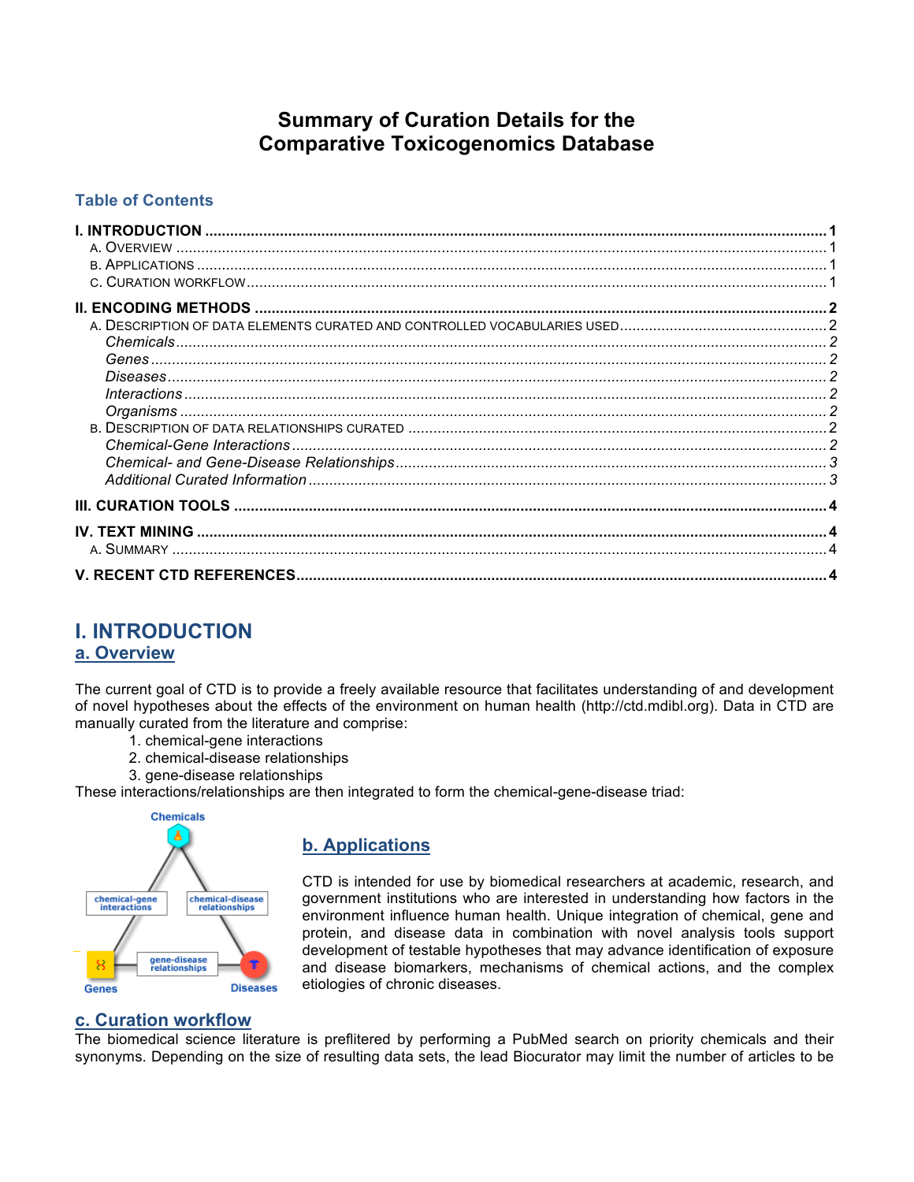# **Summary of Curation Details for the Comparative Toxicogenomics Database**

### **Table of Contents**

| $\boldsymbol{\Lambda}$ |  |
|------------------------|--|
|                        |  |
|                        |  |
|                        |  |
|                        |  |
|                        |  |
|                        |  |
|                        |  |
|                        |  |
|                        |  |
|                        |  |
|                        |  |
|                        |  |
|                        |  |
|                        |  |
|                        |  |
|                        |  |
|                        |  |
|                        |  |

# **I. INTRODUCTION**

## **a. Overview**

The current goal of CTD is to provide a freely available resource that facilitates understanding of and development of novel hypotheses about the effects of the environment on human health (http://ctd.mdibl.org). Data in CTD are manually curated from the literature and comprise:

- 1. chemical-gene interactions
- 2. chemical-disease relationships
- 3. gene-disease relationships

These interactions/relationships are then integrated to form the chemical-gene-disease triad:



## **b. Applications**

CTD is intended for use by biomedical researchers at academic, research, and government institutions who are interested in understanding how factors in the environment influence human health. Unique integration of chemical, gene and protein, and disease data in combination with novel analysis tools support development of testable hypotheses that may advance identification of exposure and disease biomarkers, mechanisms of chemical actions, and the complex etiologies of chronic diseases.

### **c. Curation workflow**

The biomedical science literature is preflitered by performing a PubMed search on priority chemicals and their synonyms. Depending on the size of resulting data sets, the lead Biocurator may limit the number of articles to be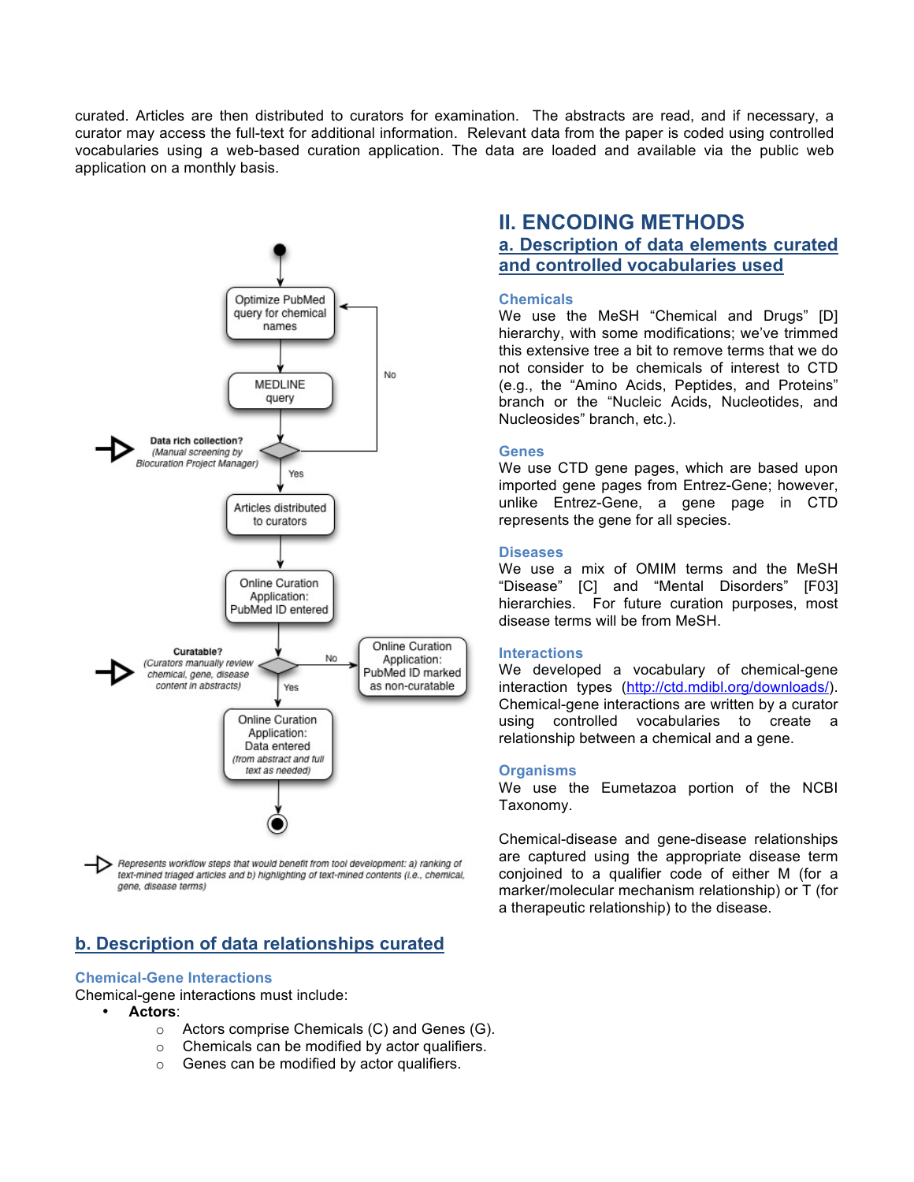curated. Articles are then distributed to curators for examination. The abstracts are read, and if necessary, a curator may access the full-text for additional information. Relevant data from the paper is coded using controlled vocabularies using a web-based curation application. The data are loaded and available via the public web application on a monthly basis.



Represents workflow steps that would benefit from tool development: a) ranking of text-mined triaged articles and b) highlighting of text-mined contents (i.e., chemical, gene, disease terms)

## **b. Description of data relationships curated**

#### **Chemical-Gene Interactions**

Chemical-gene interactions must include:

- **Actors**:
	- o Actors comprise Chemicals (C) and Genes (G).
	- o Chemicals can be modified by actor qualifiers.
	- o Genes can be modified by actor qualifiers.

## **II. ENCODING METHODS a. Description of data elements curated and controlled vocabularies used**

#### **Chemicals**

We use the MeSH "Chemical and Drugs" [D] hierarchy, with some modifications; we've trimmed this extensive tree a bit to remove terms that we do not consider to be chemicals of interest to CTD (e.g., the "Amino Acids, Peptides, and Proteins" branch or the "Nucleic Acids, Nucleotides, and Nucleosides" branch, etc.).

#### **Genes**

We use CTD gene pages, which are based upon imported gene pages from Entrez-Gene; however, unlike Entrez-Gene, a gene page in CTD represents the gene for all species.

#### **Diseases**

We use a mix of OMIM terms and the MeSH "Disease" [C] and "Mental Disorders" [F03] hierarchies. For future curation purposes, most disease terms will be from MeSH.

#### **Interactions**

We developed a vocabulary of chemical-gene interaction types (http://ctd.mdibl.org/downloads/). Chemical-gene interactions are written by a curator using controlled vocabularies to create a relationship between a chemical and a gene.

#### **Organisms**

We use the Eumetazoa portion of the NCBI Taxonomy.

Chemical-disease and gene-disease relationships are captured using the appropriate disease term conjoined to a qualifier code of either M (for a marker/molecular mechanism relationship) or T (for a therapeutic relationship) to the disease.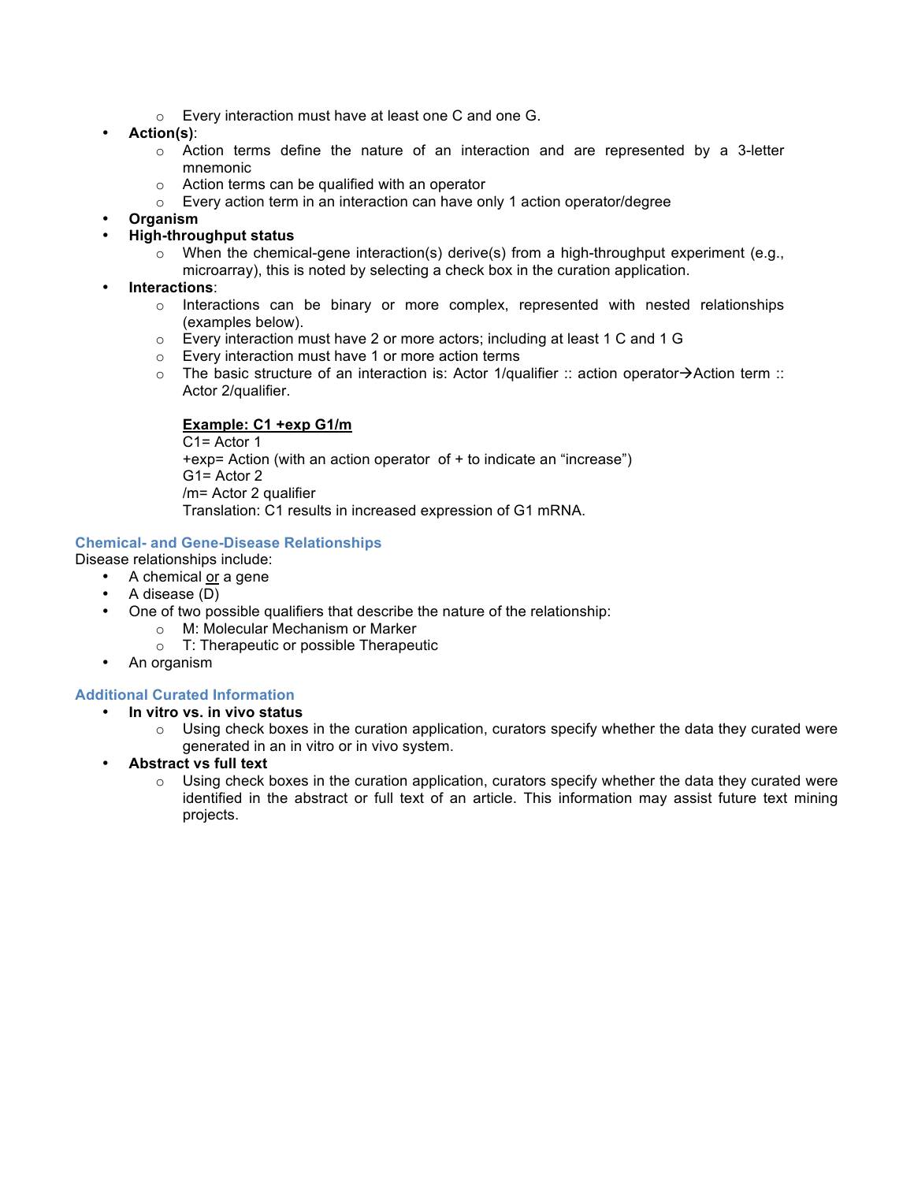- o Every interaction must have at least one C and one G.
- **Action(s)**:
	- $\circ$  Action terms define the nature of an interaction and are represented by a 3-letter mnemonic
	- o Action terms can be qualified with an operator
	- o Every action term in an interaction can have only 1 action operator/degree
- **Organism**
- **High-throughput status**
	- $\circ$  When the chemical-gene interaction(s) derive(s) from a high-throughput experiment (e.g., microarray), this is noted by selecting a check box in the curation application.
- **Interactions**:
	- $\circ$  Interactions can be binary or more complex, represented with nested relationships (examples below).
	- $\circ$  Every interaction must have 2 or more actors; including at least 1 C and 1 G
	- o Every interaction must have 1 or more action terms
	- $\circ$  The basic structure of an interaction is: Actor 1/qualifier :: action operator $\rightarrow$ Action term :: Actor 2/qualifier.

### **Example: C1 +exp G1/m**

C1= Actor 1 +exp= Action (with an action operator of + to indicate an "increase") G1= Actor 2 /m= Actor 2 qualifier Translation: C1 results in increased expression of G1 mRNA.

#### **Chemical- and Gene-Disease Relationships**

- Disease relationships include:
	- A chemical or a gene
	- A disease (D)
	- One of two possible qualifiers that describe the nature of the relationship:
		- o M: Molecular Mechanism or Marker
			- o T: Therapeutic or possible Therapeutic
	- An organism

### **Additional Curated Information**

- **In vitro vs. in vivo status**
	- $\circ$  Using check boxes in the curation application, curators specify whether the data they curated were generated in an in vitro or in vivo system.
- **Abstract vs full text**
	- $\circ$  Using check boxes in the curation application, curators specify whether the data they curated were identified in the abstract or full text of an article. This information may assist future text mining projects.